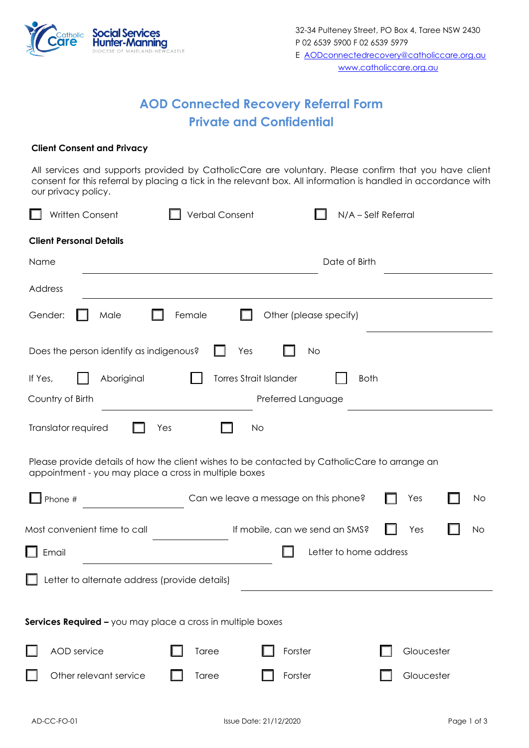

## **AOD Connected Recovery Referral Form Private and Confidential**

## **Client Consent and Privacy**

All services and supports provided by CatholicCare are voluntary. Please confirm that you have client consent for this referral by placing a tick in the relevant box. All information is handled in accordance with our privacy policy.

| Written Consent                                                                                                                                        | <b>Verbal Consent</b>                 | N/A - Self Referral |            |  |
|--------------------------------------------------------------------------------------------------------------------------------------------------------|---------------------------------------|---------------------|------------|--|
| <b>Client Personal Details</b>                                                                                                                         |                                       |                     |            |  |
| Name                                                                                                                                                   |                                       | Date of Birth       |            |  |
| Address                                                                                                                                                |                                       |                     |            |  |
| Female<br>Other (please specify)<br>Gender:<br>Male                                                                                                    |                                       |                     |            |  |
| Does the person identify as indigenous?<br>Yes<br><b>No</b>                                                                                            |                                       |                     |            |  |
| <b>Torres Strait Islander</b><br>Aboriginal<br>If Yes,<br><b>Both</b>                                                                                  |                                       |                     |            |  |
| Country of Birth                                                                                                                                       |                                       | Preferred Language  |            |  |
| Translator required<br>Yes<br>No                                                                                                                       |                                       |                     |            |  |
| Please provide details of how the client wishes to be contacted by CatholicCare to arrange an<br>appointment - you may place a cross in multiple boxes |                                       |                     |            |  |
| Phone #                                                                                                                                                | Can we leave a message on this phone? |                     | Yes<br>No  |  |
| Most convenient time to call<br>If mobile, can we send an SMS?<br>Yes<br>No                                                                            |                                       |                     |            |  |
| Letter to home address<br>Email                                                                                                                        |                                       |                     |            |  |
| Letter to alternate address (provide details)                                                                                                          |                                       |                     |            |  |
|                                                                                                                                                        |                                       |                     |            |  |
| Services Required - you may place a cross in multiple boxes                                                                                            |                                       |                     |            |  |
| AOD service                                                                                                                                            | Taree                                 | Forster             | Gloucester |  |
| Other relevant service                                                                                                                                 | Taree                                 | Forster             | Gloucester |  |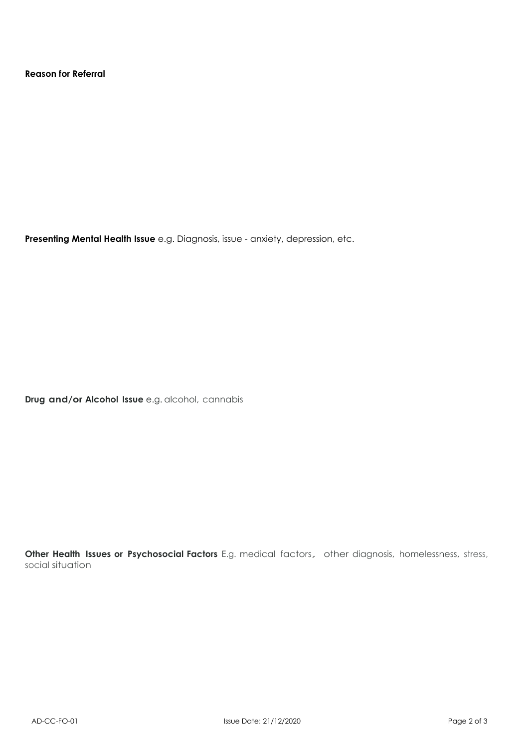**Reason for Referral**

**Presenting Mental Health Issue** e.g. Diagnosis, issue - anxiety, depression, etc.

**Drug and/or Alcohol Issue** e.g. alcohol, cannabis

**Other Health Issues or Psychosocial Factors** E.g. medical factors, other diagnosis, homelessness, stress, social situation